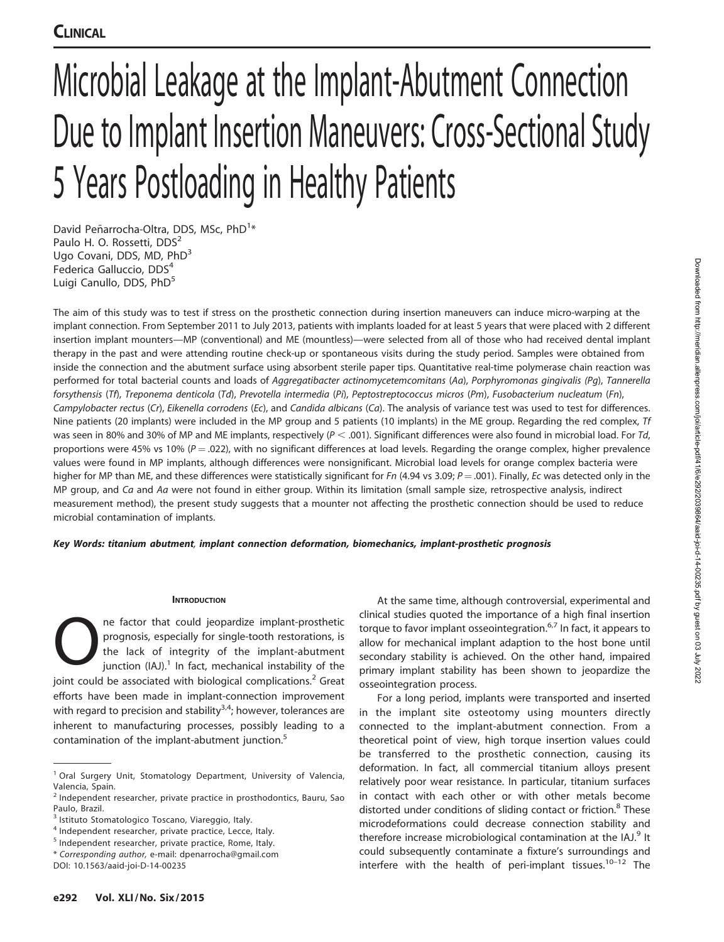# Microbial Leakage at the Implant-Abutment Connection Due to Implant Insertion Maneuvers: Cross-Sectional Study 5 Years Postloading in Healthy Patients

David Peñarrocha-Oltra, DDS, MSc, PhD<sup>1</sup>\* Paulo H. O. Rossetti, DDS<sup>2</sup> Ugo Covani, DDS, MD, PhD<sup>3</sup> Federica Galluccio, DDS<sup>4</sup> Luigi Canullo, DDS, PhD<sup>5</sup>

The aim of this study was to test if stress on the prosthetic connection during insertion maneuvers can induce micro-warping at the implant connection. From September 2011 to July 2013, patients with implants loaded for at least 5 years that were placed with 2 different insertion implant mounters—MP (conventional) and ME (mountless)—were selected from all of those who had received dental implant therapy in the past and were attending routine check-up or spontaneous visits during the study period. Samples were obtained from inside the connection and the abutment surface using absorbent sterile paper tips. Quantitative real-time polymerase chain reaction was performed for total bacterial counts and loads of Aggregatibacter actinomycetemcomitans (Aa), Porphyromonas gingivalis (Pg), Tannerella forsythensis (Tf), Treponema denticola (Td), Prevotella intermedia (Pi), Peptostreptococcus micros (Pm), Fusobacterium nucleatum (Fn), Campylobacter rectus (Cr), Eikenella corrodens (Ec), and Candida albicans (Ca). The analysis of variance test was used to test for differences. Nine patients (20 implants) were included in the MP group and 5 patients (10 implants) in the ME group. Regarding the red complex, Tf was seen in 80% and 30% of MP and ME implants, respectively ( $P < .001$ ). Significant differences were also found in microbial load. For Td, proportions were 45% vs 10% ( $P = 0.022$ ), with no significant differences at load levels. Regarding the orange complex, higher prevalence values were found in MP implants, although differences were nonsignificant. Microbial load levels for orange complex bacteria were higher for MP than ME, and these differences were statistically significant for Fn (4.94 vs 3.09;  $P = .001$ ). Finally, Ec was detected only in the MP group, and Ca and Aa were not found in either group. Within its limitation (small sample size, retrospective analysis, indirect measurement method), the present study suggests that a mounter not affecting the prosthetic connection should be used to reduce microbial contamination of implants.

Key Words: titanium abutment, implant connection deformation, biomechanics, implant-prosthetic prognosis

## **INTRODUCTION**

The factor that could jeopardize implant-prosthetic<br>prognosis, especially for single-tooth restorations, is<br>the lack of integrity of the implant-abutment<br>junction (IAJ).<sup>1</sup> In fact, mechanical instability of the<br>isotoparti prognosis, especially for single-tooth restorations, is the lack of integrity of the implant-abutment junction  $(IAJ).<sup>1</sup>$  In fact, mechanical instability of the joint could be associated with biological complications.<sup>2</sup> Great efforts have been made in implant-connection improvement with regard to precision and stability $^{3,4}$ ; however, tolerances are inherent to manufacturing processes, possibly leading to a contamination of the implant-abutment junction.<sup>5</sup>

At the same time, although controversial, experimental and clinical studies quoted the importance of a high final insertion torque to favor implant osseointegration.<sup>6,7</sup> In fact, it appears to allow for mechanical implant adaption to the host bone until secondary stability is achieved. On the other hand, impaired primary implant stability has been shown to jeopardize the osseointegration process.

For a long period, implants were transported and inserted in the implant site osteotomy using mounters directly connected to the implant-abutment connection. From a theoretical point of view, high torque insertion values could be transferred to the prosthetic connection, causing its deformation. In fact, all commercial titanium alloys present relatively poor wear resistance. In particular, titanium surfaces in contact with each other or with other metals become distorted under conditions of sliding contact or friction.<sup>8</sup> These microdeformations could decrease connection stability and therefore increase microbiological contamination at the IAJ.<sup>9</sup> It could subsequently contaminate a fixture's surroundings and interfere with the health of peri-implant tissues.<sup>10-12</sup> The

<sup>&</sup>lt;sup>1</sup> Oral Surgery Unit, Stomatology Department, University of Valencia, Valencia, Spain.

<sup>&</sup>lt;sup>2</sup> Independent researcher, private practice in prosthodontics, Bauru, Sao Paulo, Brazil.

<sup>&</sup>lt;sup>3</sup> Istituto Stomatologico Toscano, Viareggio, Italy.

<sup>4</sup> Independent researcher, private practice, Lecce, Italy.

 $<sup>5</sup>$  Independent researcher, private practice, Rome, Italy.</sup>

<sup>\*</sup> Corresponding author, e-mail: dpenarrocha@gmail.com

DOI: 10.1563/aaid-joi-D-14-00235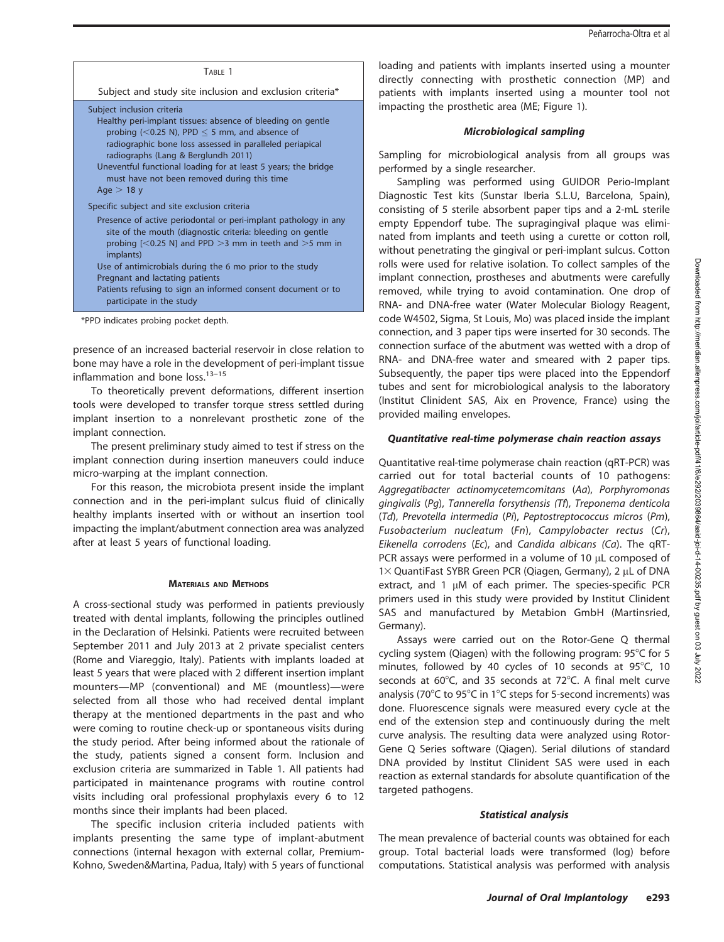| TABLE 1                                                                                                                                                                                                                                                   | <b>TOdully</b> c<br>directly                      |
|-----------------------------------------------------------------------------------------------------------------------------------------------------------------------------------------------------------------------------------------------------------|---------------------------------------------------|
| Subject and study site inclusion and exclusion criteria*                                                                                                                                                                                                  | patients                                          |
| Subject inclusion criteria<br>Healthy peri-implant tissues: absence of bleeding on gentle<br>probing ( $<$ 0.25 N), PPD $<$ 5 mm, and absence of<br>radiographic bone loss assessed in paralleled periapical                                              | impactino                                         |
| radiographs (Lang & Berglundh 2011)<br>Uneventful functional loading for at least 5 years; the bridge<br>must have not been removed during this time<br>Age $>$ 18 y                                                                                      | Sampling<br>performe<br>Samp<br>Diagnosti         |
| Specific subject and site exclusion criteria<br>Presence of active periodontal or peri-implant pathology in any<br>site of the mouth (diagnostic criteria: bleeding on gentle<br>probing $[<0.25$ N] and PPD $>3$ mm in teeth and $>5$ mm in<br>implants) | consistino<br>empty Er<br>nated fro<br>without p  |
| Use of antimicrobials during the 6 mo prior to the study<br>Pregnant and lactating patients<br>Patients refusing to sign an informed consent document or to<br>participate in the study                                                                   | rolls were<br>implant o<br>removed,<br>$RNA - 2n$ |

\*PPD indicates probing pocket depth.

presence of an increased bacterial reservoir in close relation to bone may have a role in the development of peri-implant tissue inflammation and bone loss. $13-15$ 

To theoretically prevent deformations, different insertion tools were developed to transfer torque stress settled during implant insertion to a nonrelevant prosthetic zone of the implant connection.

The present preliminary study aimed to test if stress on the implant connection during insertion maneuvers could induce micro-warping at the implant connection.

For this reason, the microbiota present inside the implant connection and in the peri-implant sulcus fluid of clinically healthy implants inserted with or without an insertion tool impacting the implant/abutment connection area was analyzed after at least 5 years of functional loading.

### MATERIALS AND METHODS

A cross-sectional study was performed in patients previously treated with dental implants, following the principles outlined in the Declaration of Helsinki. Patients were recruited between September 2011 and July 2013 at 2 private specialist centers (Rome and Viareggio, Italy). Patients with implants loaded at least 5 years that were placed with 2 different insertion implant mounters—MP (conventional) and ME (mountless)—were selected from all those who had received dental implant therapy at the mentioned departments in the past and who were coming to routine check-up or spontaneous visits during the study period. After being informed about the rationale of the study, patients signed a consent form. Inclusion and exclusion criteria are summarized in Table 1. All patients had participated in maintenance programs with routine control visits including oral professional prophylaxis every 6 to 12 months since their implants had been placed.

The specific inclusion criteria included patients with implants presenting the same type of implant-abutment connections (internal hexagon with external collar, Premium-Kohno, Sweden&Martina, Padua, Italy) with 5 years of functional loading and patients with implants inserted using a mounter connecting with prosthetic connection (MP) and with implants inserted using a mounter tool not g the prosthetic area (ME; Figure 1).

## Microbiological sampling

for microbiological analysis from all groups was d by a single researcher.

ling was performed using GUIDOR Perio-Implant ic Test kits (Sunstar Iberia S.L.U, Barcelona, Spain), q of 5 sterile absorbent paper tips and a 2-mL sterile ppendorf tube. The supragingival plaque was elimim implants and teeth using a curette or cotton roll, penetrating the gingival or peri-implant sulcus. Cotton e used for relative isolation. To collect samples of the connection, prostheses and abutments were carefully while trying to avoid contamination. One drop of RNA- and DNA-free water (Water Molecular Biology Reagent, code W4502, Sigma, St Louis, Mo) was placed inside the implant connection, and 3 paper tips were inserted for 30 seconds. The connection surface of the abutment was wetted with a drop of RNA- and DNA-free water and smeared with 2 paper tips. Subsequently, the paper tips were placed into the Eppendorf tubes and sent for microbiological analysis to the laboratory (Institut Clinident SAS, Aix en Provence, France) using the provided mailing envelopes.

## Quantitative real-time polymerase chain reaction assays

Quantitative real-time polymerase chain reaction (qRT-PCR) was carried out for total bacterial counts of 10 pathogens: Aggregatibacter actinomycetemcomitans (Aa), Porphyromonas gingivalis (Pg), Tannerella forsythensis (Tf), Treponema denticola (Td), Prevotella intermedia (Pi), Peptostreptococcus micros (Pm), Fusobacterium nucleatum (Fn), Campylobacter rectus (Cr), Eikenella corrodens (Ec), and Candida albicans (Ca). The qRT-PCR assays were performed in a volume of 10  $\mu$ L composed of 1× QuantiFast SYBR Green PCR (Qiagen, Germany), 2 µL of DNA extract, and 1  $\mu$ M of each primer. The species-specific PCR primers used in this study were provided by Institut Clinident SAS and manufactured by Metabion GmbH (Martinsried, Germany).

Assays were carried out on the Rotor-Gene Q thermal cycling system (Qiagen) with the following program:  $95^{\circ}$ C for 5 minutes, followed by 40 cycles of 10 seconds at  $95^{\circ}$ C, 10 seconds at  $60^{\circ}$ C, and 35 seconds at 72 $^{\circ}$ C. A final melt curve analysis (70 $\degree$ C to 95 $\degree$ C in 1 $\degree$ C steps for 5-second increments) was done. Fluorescence signals were measured every cycle at the end of the extension step and continuously during the melt curve analysis. The resulting data were analyzed using Rotor-Gene Q Series software (Qiagen). Serial dilutions of standard DNA provided by Institut Clinident SAS were used in each reaction as external standards for absolute quantification of the targeted pathogens.

## Statistical analysis

The mean prevalence of bacterial counts was obtained for each group. Total bacterial loads were transformed (log) before computations. Statistical analysis was performed with analysis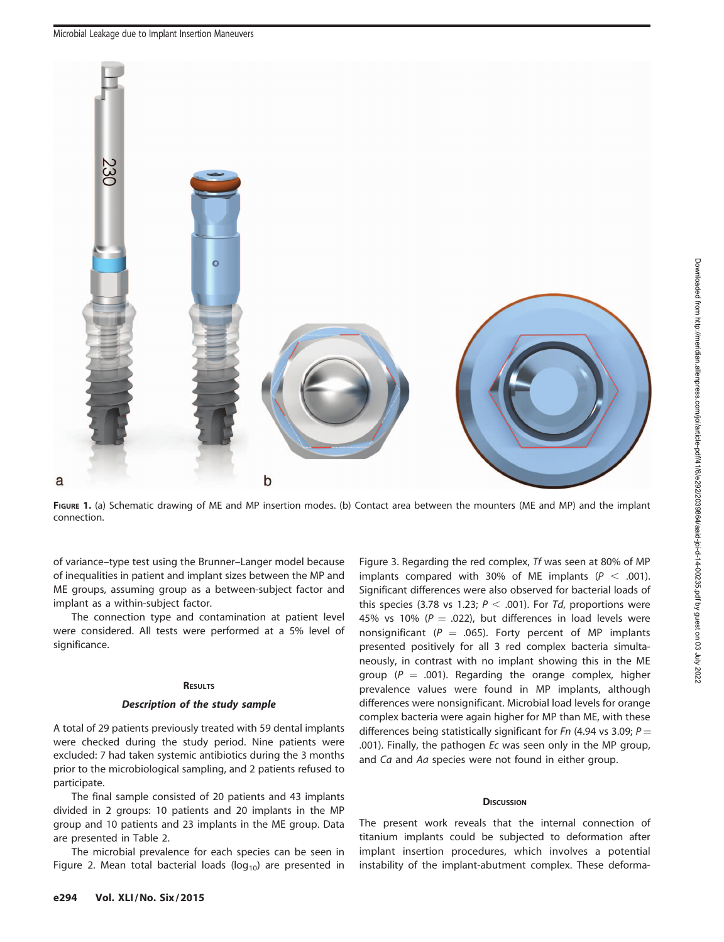

FIGURE 1. (a) Schematic drawing of ME and MP insertion modes. (b) Contact area between the mounters (ME and MP) and the implant connection.

of variance–type test using the Brunner–Langer model because of inequalities in patient and implant sizes between the MP and ME groups, assuming group as a between-subject factor and implant as a within-subject factor.

The connection type and contamination at patient level were considered. All tests were performed at a 5% level of significance.

## **RESULTS**

# Description of the study sample

A total of 29 patients previously treated with 59 dental implants were checked during the study period. Nine patients were excluded: 7 had taken systemic antibiotics during the 3 months prior to the microbiological sampling, and 2 patients refused to participate.

The final sample consisted of 20 patients and 43 implants divided in 2 groups: 10 patients and 20 implants in the MP group and 10 patients and 23 implants in the ME group. Data are presented in Table 2.

The microbial prevalence for each species can be seen in Figure 2. Mean total bacterial loads ( $log_{10}$ ) are presented in Figure 3. Regarding the red complex, Tf was seen at 80% of MP implants compared with 30% of ME implants ( $P < .001$ ). Significant differences were also observed for bacterial loads of this species (3.78 vs 1.23;  $P < .001$ ). For Td, proportions were 45% vs 10% ( $P = .022$ ), but differences in load levels were nonsignificant ( $P = .065$ ). Forty percent of MP implants presented positively for all 3 red complex bacteria simultaneously, in contrast with no implant showing this in the ME group ( $P = .001$ ). Regarding the orange complex, higher prevalence values were found in MP implants, although differences were nonsignificant. Microbial load levels for orange complex bacteria were again higher for MP than ME, with these differences being statistically significant for Fn (4.94 vs 3.09;  $P =$ .001). Finally, the pathogen Ec was seen only in the MP group, and Ca and Aa species were not found in either group.

## **DISCUSSION**

The present work reveals that the internal connection of titanium implants could be subjected to deformation after implant insertion procedures, which involves a potential instability of the implant-abutment complex. These deforma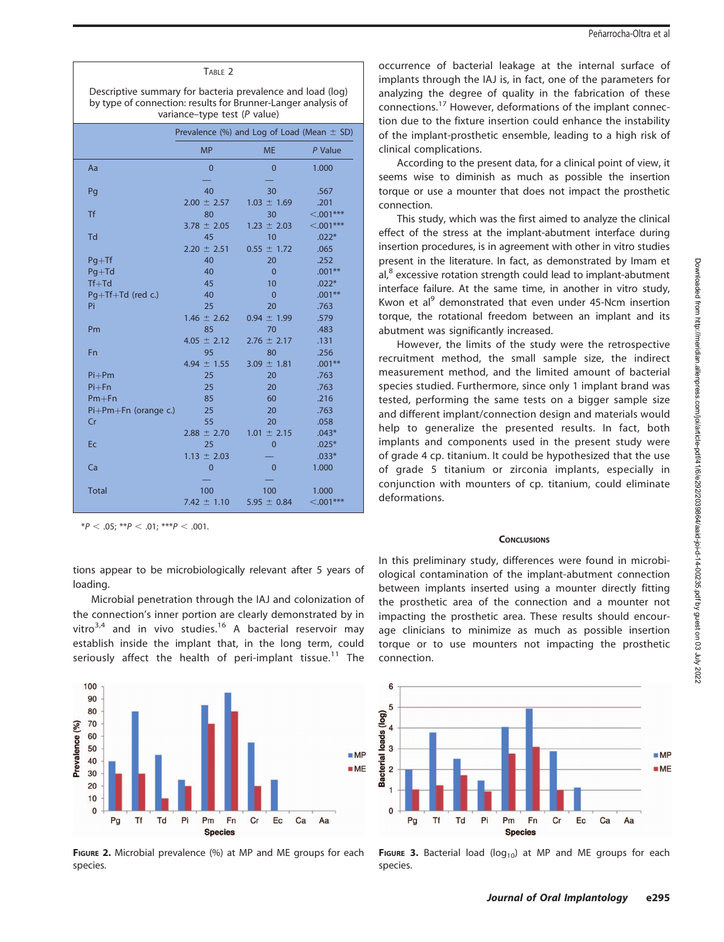Descriptive summary for bacteria prevalence and load (log) by type of connection: results for Brunner-Langer analysis of variance-type test (P value)

|                      | Prevalence (%) and Log of Load (Mean $\pm$ SD) |                 |             |
|----------------------|------------------------------------------------|-----------------|-------------|
|                      | <b>MP</b>                                      | <b>ME</b>       | P Value     |
| Aa                   | $\overline{0}$                                 | $\overline{0}$  | 1.000       |
|                      |                                                |                 |             |
| Pq                   | 40                                             | 30              | .567        |
|                      | $2.00 \pm 2.57$                                | $1.03 \pm 1.69$ | .201        |
| <b>Tf</b>            | 80                                             | 30              | $< .001***$ |
|                      | $3.78 \pm 2.05$                                | $1.23 \pm 2.03$ | $< .001***$ |
| Td                   | 45                                             | 10              | $.022*$     |
|                      | $2.20 \pm 2.51$                                | $0.55 \pm 1.72$ | .065        |
| $Pq+Tf$              | 40                                             | 20              | .252        |
| $Pq+Td$              | 40                                             | $\overline{0}$  | $.001**$    |
| $Tf+Td$              | 45                                             | 10              | $.022*$     |
| $Pq+Tf+Td$ (red c.)  | 40                                             | $\overline{0}$  | $.001**$    |
| Pi                   | 25                                             | 20              | .763        |
|                      | $1.46 \pm 2.62$                                | $0.94 \pm 1.99$ | .579        |
| Pm                   | 85                                             | 70              | .483        |
|                      | $4.05 \pm 2.12$                                | $2.76 \pm 2.17$ | .131        |
| Fn                   | 95                                             | 80              | .256        |
|                      | 4.94 $\pm$ 1.55                                | $3.09 \pm 1.81$ | $.001**$    |
| $Pi+Pm$              | 25                                             | 20              | .763        |
| $Pi + Fn$            | 25                                             | 20              | .763        |
| $Pm + Fn$            | 85                                             | 60              | .216        |
| Pi+Pm+Fn (orange c.) | 25                                             | 20              | .763        |
| Cr                   | 55                                             | 20              | .058        |
|                      | $2.88 \pm 2.70$                                | $1.01 \pm 2.15$ | $.043*$     |
| Ec                   | 25                                             | $\overline{0}$  | $.025*$     |
|                      | $1.13 \pm 2.03$                                |                 | $.033*$     |
| Ca                   | $\overline{0}$                                 | $\overline{0}$  | 1.000       |
|                      |                                                |                 |             |
| <b>Total</b>         | 100                                            | 100             | 1.000       |
|                      | 7.42 $\pm$ 1.10                                | 5.95 $\pm$ 0.84 | $< .001***$ |
|                      |                                                |                 |             |

 $*P < .05; **P < .01; **P < .001.$ 

tions appear to be microbiologically relevant after 5 years of loading.

Microbial penetration through the IAJ and colonization of the connection's inner portion are clearly demonstrated by in vitro $3,4$  and in vivo studies.<sup>16</sup> A bacterial reservoir may establish inside the implant that, in the long term, could seriously affect the health of peri-implant tissue.<sup>11</sup> The



FIGURE 2. Microbial prevalence (%) at MP and ME groups for each species.

occurrence of bacterial leakage at the internal surface of implants through the IAJ is, in fact, one of the parameters for analyzing the degree of quality in the fabrication of these connections.<sup>17</sup> However, deformations of the implant connection due to the fixture insertion could enhance the instability of the implant-prosthetic ensemble, leading to a high risk of clinical complications.

According to the present data, for a clinical point of view, it seems wise to diminish as much as possible the insertion torque or use a mounter that does not impact the prosthetic connection.

This study, which was the first aimed to analyze the clinical effect of the stress at the implant-abutment interface during insertion procedures, is in agreement with other in vitro studies present in the literature. In fact, as demonstrated by Imam et  $al<sub>o</sub><sup>8</sup>$  excessive rotation strength could lead to implant-abutment interface failure. At the same time, in another in vitro study, Kwon et al $<sup>9</sup>$  demonstrated that even under 45-Ncm insertion</sup> torque, the rotational freedom between an implant and its abutment was significantly increased.

However, the limits of the study were the retrospective recruitment method, the small sample size, the indirect measurement method, and the limited amount of bacterial species studied. Furthermore, since only 1 implant brand was tested, performing the same tests on a bigger sample size and different implant/connection design and materials would help to generalize the presented results. In fact, both implants and components used in the present study were of grade 4 cp. titanium. It could be hypothesized that the use of grade 5 titanium or zirconia implants, especially in conjunction with mounters of cp. titanium, could eliminate deformations.

### **CONCLUSIONS**

In this preliminary study, differences were found in microbiological contamination of the implant-abutment connection between implants inserted using a mounter directly fitting the prosthetic area of the connection and a mounter not impacting the prosthetic area. These results should encourage clinicians to minimize as much as possible insertion torque or to use mounters not impacting the prosthetic connection.



FIGURE 3. Bacterial load ( $log_{10}$ ) at MP and ME groups for each species.